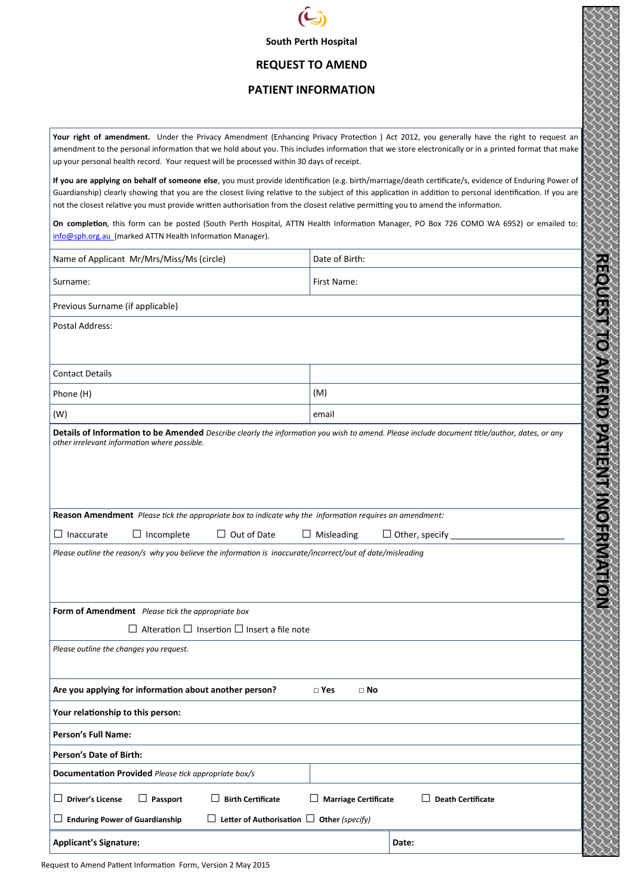

# **South Perth Hospital**

## **REQUEST TO AMEND**

#### **PATIENT INFORMATION**

**Your right of amendment.** Under the Privacy Amendment (Enhancing Privacy Protection ) Act 2012, you generally have the right to request an amendment to the personal information that we hold about you. This includes information that we store electronically or in a printed format that make up your personal health record. Your request will be processed within 30 days of receipt. **If you are applying on behalf of someone else**, you must provide identification (e.g. birth/marriage/death certificate/s, evidence of Enduring Power of Guardianship) clearly showing that you are the closest living relative to the subject of this application in addition to personal identification. If you are not the closest relative you must provide written authorisation from the closest relative permitting you to amend the information. **On completion**, this form can be posted (South Perth Hospital, ATTN Health Information Manager, PO Box 726 COMO WA 6952) or emailed to: info@sph.org.au (marked ATTN Health Information Manager). Name of Applicant Mr/Mrs/Miss/Ms (circle) Date of Birth: RFQ OF 21 O AMEND FAITENT IN OFFINANCE **REQUEST TO AMEND PATIENT INOFRMATION** Surname: The Surname: First Name: The Surname: The Surname: The Surname: The Surname: The Surname: The Surname Previous Surname (if applicable) Postal Address: Contact Details Phone  $(H)$  (M) (W) email **Details of Information to be Amended** *Describe clearly the information you wish to amend. Please include document title/author, dates, or any other irrelevant information where possible.* **Reason Amendment** *Please tick the appropriate box to indicate why the information requires an amendment:* □ Inaccurate □ Incomplete □ Out of Date □ Misleading □ Other, specify \_\_\_\_\_\_\_\_\_\_\_\_\_\_\_\_\_\_\_\_\_\_\_\_ *Please outline the reason/s why you believe the information is inaccurate/incorrect/out of date/misleading*  **Form of Amendment** *Please tick the appropriate box* □ Alteration □ Insertion □ Insert a file note *Please outline the changes you request.* Are you applying for information about another person? □ Yes □ No **Your relationship to this person: Person's Full Name: Person's Date of Birth: Documentation Provided** *Please tick appropriate box/s* □ **Driver's License** □ **Passport** □ **Birth Certificate** □ **Marriage Certificate** □ **Death Certificate**  □ **Enduring Power of Guardianship** □ **Letter of Authorisation** □ **Other** *(specify)*  Applicant's Signature: **Date: Date: Date: Date: Date: Date: Date: Date: Date: Date: Date: Date: Date: Date: Date: Date: Date: Date: Date: Date: Date: Date: Date: Date: Date:**